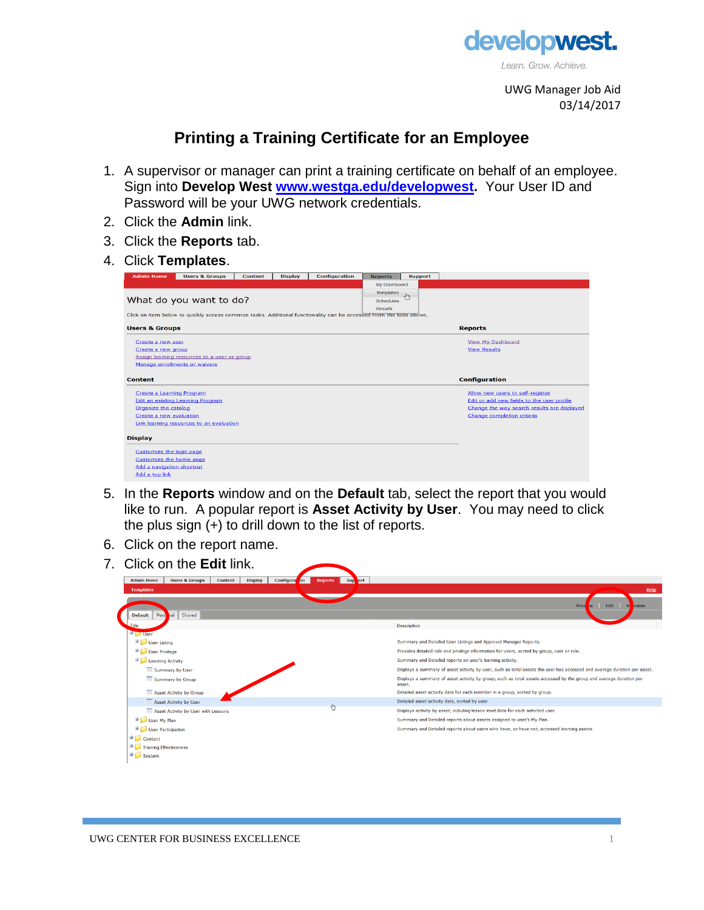

UWG Manager Job Aid 03/14/2017

## **Printing a Training Certificate for an Employee**

- 1. A supervisor or manager can print a training certificate on behalf of an employee. Sign into **Develop West [www.westga.edu/developwest.](http://www.westga.edu/developwest)** Your User ID and Password will be your UWG network credentials.
- 2. Click the **Admin** link.
- 3. Click the **Reports** tab.
- 4. Click **Templates**.

| <b>Admin Home</b>         | <b>Users &amp; Groups</b>                                                                                         | <b>Content</b> | <b>Display</b> | <b>Configuration</b> | <b>Reports</b>   | <b>Support</b> |                                             |  |  |  |  |  |  |
|---------------------------|-------------------------------------------------------------------------------------------------------------------|----------------|----------------|----------------------|------------------|----------------|---------------------------------------------|--|--|--|--|--|--|
|                           |                                                                                                                   |                |                |                      | My Dashboard     |                |                                             |  |  |  |  |  |  |
|                           |                                                                                                                   |                |                |                      | <b>Templates</b> | $\sqrt{2}$     |                                             |  |  |  |  |  |  |
|                           | What do you want to do?                                                                                           |                |                |                      | <b>Schedules</b> |                |                                             |  |  |  |  |  |  |
|                           |                                                                                                                   |                |                |                      | <b>Results</b>   |                |                                             |  |  |  |  |  |  |
|                           | Click an item below to quickly access common tasks. Additional functionality can be accessed from the tabs above. |                |                |                      |                  |                |                                             |  |  |  |  |  |  |
| <b>Users &amp; Groups</b> |                                                                                                                   |                |                |                      |                  |                | <b>Reports</b>                              |  |  |  |  |  |  |
| Create a new user         |                                                                                                                   |                |                |                      |                  |                | View My Dashboard                           |  |  |  |  |  |  |
| Create a new group        |                                                                                                                   |                |                |                      |                  |                | <b>View Results</b>                         |  |  |  |  |  |  |
|                           | Assign learning resources to a user or group                                                                      |                |                |                      |                  |                |                                             |  |  |  |  |  |  |
|                           | Manage enrollments or waivers                                                                                     |                |                |                      |                  |                |                                             |  |  |  |  |  |  |
|                           |                                                                                                                   |                |                |                      |                  |                |                                             |  |  |  |  |  |  |
| <b>Content</b>            |                                                                                                                   |                |                |                      |                  |                | Configuration                               |  |  |  |  |  |  |
| Create a Learning Program |                                                                                                                   |                |                |                      |                  |                | Allow new users to self-register            |  |  |  |  |  |  |
|                           | <b>Edit an existing Learning Program</b>                                                                          |                |                |                      |                  |                | Edit or add new fields to the user profile  |  |  |  |  |  |  |
| Organize the catalog      |                                                                                                                   |                |                |                      |                  |                | Change the way search results are displayed |  |  |  |  |  |  |
| Create a new evaluation   |                                                                                                                   |                |                |                      |                  |                | Change completion criteria                  |  |  |  |  |  |  |
|                           | Link learning resources to an evaluation                                                                          |                |                |                      |                  |                |                                             |  |  |  |  |  |  |
|                           |                                                                                                                   |                |                |                      |                  |                |                                             |  |  |  |  |  |  |
| <b>Display</b>            |                                                                                                                   |                |                |                      |                  |                |                                             |  |  |  |  |  |  |
| Customize the login page  |                                                                                                                   |                |                |                      |                  |                |                                             |  |  |  |  |  |  |
| Customize the home page   |                                                                                                                   |                |                |                      |                  |                |                                             |  |  |  |  |  |  |
| Add a navigation shortcut |                                                                                                                   |                |                |                      |                  |                |                                             |  |  |  |  |  |  |
| Add a top link            |                                                                                                                   |                |                |                      |                  |                |                                             |  |  |  |  |  |  |
|                           |                                                                                                                   |                |                |                      |                  |                |                                             |  |  |  |  |  |  |

- 5. In the **Reports** window and on the **Default** tab, select the report that you would like to run. A popular report is **Asset Activity by User**. You may need to click the plus sign  $(+)$  to drill down to the list of reports.
- 6. Click on the report name.
- 7. Click on the **Edit** link.

| Configura<br><b>Admin Home</b><br><b>Users &amp; Groups</b><br><b>Content</b><br><b>Display</b> | Sup<br>ort<br>$\bm{b}$<br><b>Reports</b> |                                                                                                                              |  |  |  |  |  |  |  |  |
|-------------------------------------------------------------------------------------------------|------------------------------------------|------------------------------------------------------------------------------------------------------------------------------|--|--|--|--|--|--|--|--|
| <b>Templates</b>                                                                                |                                          | Help                                                                                                                         |  |  |  |  |  |  |  |  |
|                                                                                                 |                                          | Edit<br>edule<br>Prev                                                                                                        |  |  |  |  |  |  |  |  |
| <b>Default</b><br>Shared<br>Pers                                                                |                                          |                                                                                                                              |  |  |  |  |  |  |  |  |
| Title                                                                                           |                                          | <b>Description</b>                                                                                                           |  |  |  |  |  |  |  |  |
| <b>D</b> User                                                                                   |                                          |                                                                                                                              |  |  |  |  |  |  |  |  |
| User Listing                                                                                    |                                          | Summary and Detailed User Listings and Approval Manager Reports.                                                             |  |  |  |  |  |  |  |  |
| User Privilege                                                                                  |                                          | Provides detailed role and privilege information for users, sorted by group, user or role.                                   |  |  |  |  |  |  |  |  |
| Learning Activity                                                                               |                                          | Summary and Detailed reports on user's learning activity.                                                                    |  |  |  |  |  |  |  |  |
| Summary by User                                                                                 |                                          | Displays a summary of asset activity by user, such as total assets the user has accessed and average duration per asset.     |  |  |  |  |  |  |  |  |
| Summary by Group                                                                                |                                          | Displays a summary of asset activity by group, such as total assets accessed by the group and average duration per<br>asset. |  |  |  |  |  |  |  |  |
| Asset Activity by Group                                                                         |                                          | Detailed asset activity data for each member in a group, sorted by group.                                                    |  |  |  |  |  |  |  |  |
| Asset Activity by User                                                                          |                                          | Detailed asset activity data, sorted by user.                                                                                |  |  |  |  |  |  |  |  |
| Asset Activity by User with Lessons                                                             |                                          | Displays activity by asset, including lesson level data for each selected user.                                              |  |  |  |  |  |  |  |  |
| User My Plan                                                                                    |                                          | Summary and Detailed reports about assets assigned to user's My Plan.                                                        |  |  |  |  |  |  |  |  |
| User Participation                                                                              |                                          | Summary and Detailed reports about users who have, or have not, accessed learning assets.                                    |  |  |  |  |  |  |  |  |
| $\Box$ Content                                                                                  |                                          |                                                                                                                              |  |  |  |  |  |  |  |  |
| 国!<br>Training Effectiveness                                                                    |                                          |                                                                                                                              |  |  |  |  |  |  |  |  |
| System                                                                                          |                                          |                                                                                                                              |  |  |  |  |  |  |  |  |
|                                                                                                 |                                          |                                                                                                                              |  |  |  |  |  |  |  |  |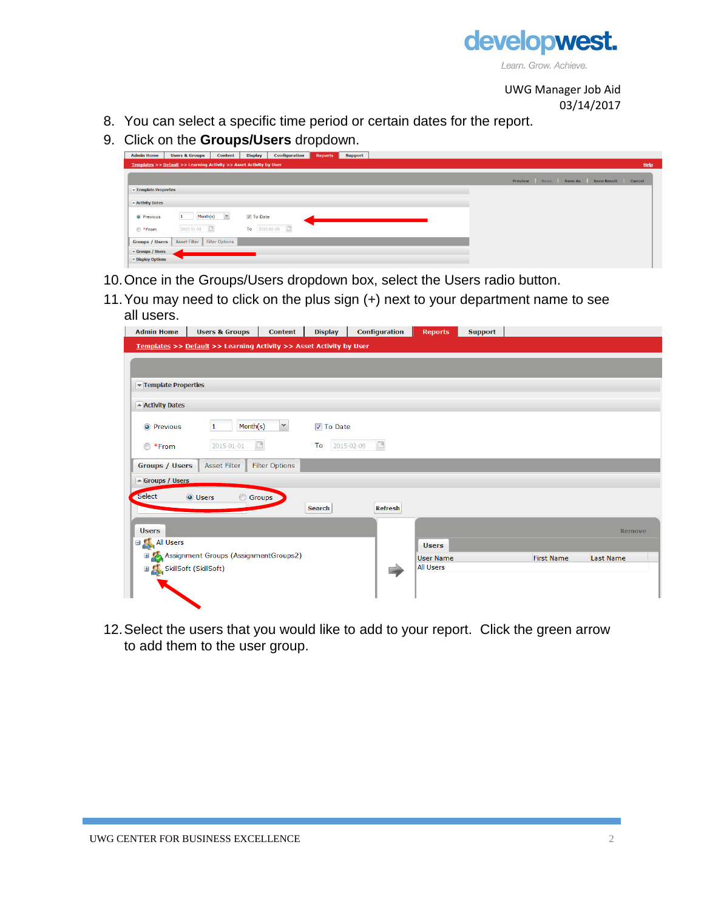

UWG Manager Job Aid 03/14/2017

- 8. You can select a specific time period or certain dates for the report.
- 9. Click on the **Groups/Users** dropdown.

| <b>Admin Home</b>                   | <b>Users &amp; Groups</b>                                           | Content               | Display   | <b>Configuration</b> | <b>Reports</b> | <b>Support</b><br>٠ |  |  |  |  |                                         |  |      |
|-------------------------------------|---------------------------------------------------------------------|-----------------------|-----------|----------------------|----------------|---------------------|--|--|--|--|-----------------------------------------|--|------|
|                                     | Templates >> Default >> Learning Activity >> Asset Activity by User |                       |           |                      |                |                     |  |  |  |  |                                         |  | Help |
|                                     |                                                                     |                       |           |                      |                |                     |  |  |  |  | Preview Save Save As Save Result Cancel |  |      |
| Template Properties                 |                                                                     |                       |           |                      |                |                     |  |  |  |  |                                         |  |      |
|                                     |                                                                     |                       |           |                      |                |                     |  |  |  |  |                                         |  |      |
| - Activity Dates                    |                                                                     |                       |           |                      |                |                     |  |  |  |  |                                         |  |      |
| <sup>O</sup> Previous               | Month(s)                                                            | $\checkmark$          | V To Date |                      |                |                     |  |  |  |  |                                         |  |      |
| <sup>■</sup> *From                  | $\Box$<br>2015-01-01                                                |                       |           | To $2015 - 02 - 09$  |                |                     |  |  |  |  |                                         |  |      |
| <b>Groups / Users</b>               | Asset Filter                                                        | <b>Filter Options</b> |           |                      |                |                     |  |  |  |  |                                         |  |      |
| $\blacktriangledown$ Groups / Users |                                                                     |                       |           |                      |                |                     |  |  |  |  |                                         |  |      |
| v Display Options                   |                                                                     |                       |           |                      |                |                     |  |  |  |  |                                         |  |      |
|                                     |                                                                     |                       |           |                      |                |                     |  |  |  |  |                                         |  |      |

- 10.Once in the Groups/Users dropdown box, select the Users radio button.
- 11.You may need to click on the plus sign (+) next to your department name to see all users.

| <b>Admin Home</b>                 | <b>Users &amp; Groups</b>                                           | <b>Content</b>        | <b>Display</b>   | <b>Configuration</b> | <b>Reports</b>   | <b>Support</b> |                   |                  |
|-----------------------------------|---------------------------------------------------------------------|-----------------------|------------------|----------------------|------------------|----------------|-------------------|------------------|
|                                   | Templates >> Default >> Learning Activity >> Asset Activity by User |                       |                  |                      |                  |                |                   |                  |
|                                   |                                                                     |                       |                  |                      |                  |                |                   |                  |
|                                   |                                                                     |                       |                  |                      |                  |                |                   |                  |
| Template Properties               |                                                                     |                       |                  |                      |                  |                |                   |                  |
| - Activity Dates                  |                                                                     |                       |                  |                      |                  |                |                   |                  |
| <b>O</b> Previous                 | Month(s)<br>1                                                       | $\checkmark$          | <b>V</b> To Date |                      |                  |                |                   |                  |
| ◯ *From                           | 2015-01-01                                                          | $\Box$                | 2015-02-09<br>To | $\Box$               |                  |                |                   |                  |
| <b>Groups / Users</b>             | <b>Asset Filter</b>                                                 | <b>Filter Options</b> |                  |                      |                  |                |                   |                  |
| - Groups / Users                  |                                                                     |                       |                  |                      |                  |                |                   |                  |
| Select                            | <b>O</b> Users<br>⊙                                                 | Groups                |                  |                      |                  |                |                   |                  |
|                                   |                                                                     |                       | <b>Search</b>    | <b>Refresh</b>       |                  |                |                   |                  |
| <b>Users</b>                      |                                                                     |                       |                  |                      |                  |                |                   | Remove           |
| <b>EXALUSERS</b>                  |                                                                     |                       |                  |                      | <b>Users</b>     |                |                   |                  |
|                                   | Assignment Groups (AssignmentGroups2)                               |                       |                  |                      | <b>User Name</b> |                | <b>First Name</b> | <b>Last Name</b> |
| <b>⊞ Co</b> SkillSoft (SkillSoft) |                                                                     |                       |                  |                      | <b>All Users</b> |                |                   |                  |
|                                   |                                                                     |                       |                  |                      |                  |                |                   |                  |
|                                   |                                                                     |                       |                  |                      |                  |                |                   |                  |
|                                   |                                                                     |                       |                  |                      |                  |                |                   |                  |

12.Select the users that you would like to add to your report. Click the green arrow to add them to the user group.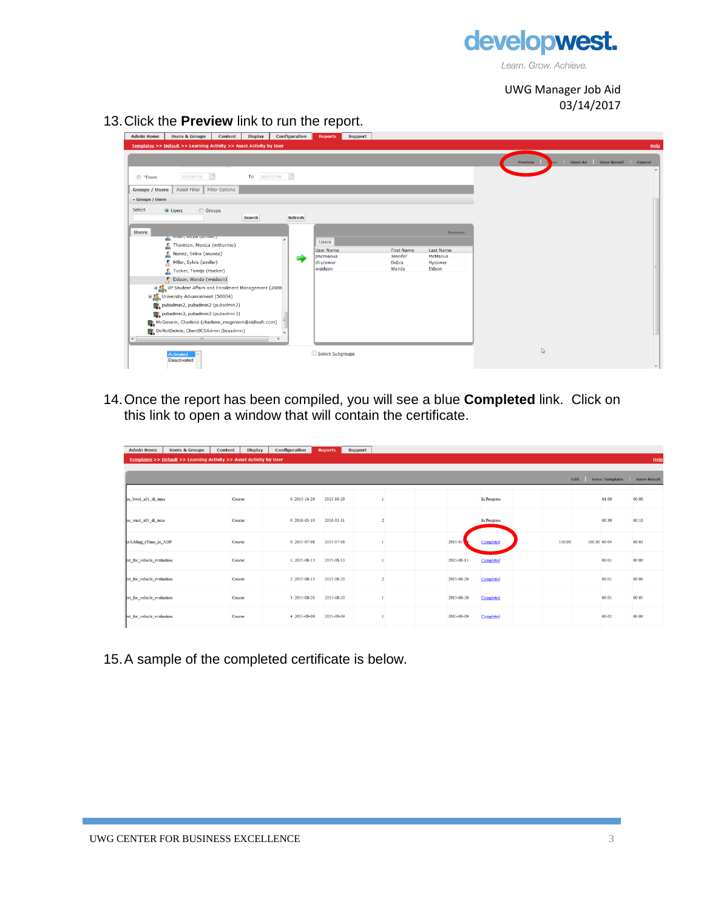

Learn. Grow. Achieve.

UWG Manager Job Aid 03/14/2017

13.Click the **Preview** link to run the report.

| <b>Admin Home</b><br><b>Users &amp; Groups</b><br><b>Display</b><br><b>Content</b>                                                                                                                                                                                                                                                                                                                                                                                                                                                                                  | Configuration | <b>Reports</b><br><b>Support</b>                                           |                                                 |                                                                   |                                   |        |
|---------------------------------------------------------------------------------------------------------------------------------------------------------------------------------------------------------------------------------------------------------------------------------------------------------------------------------------------------------------------------------------------------------------------------------------------------------------------------------------------------------------------------------------------------------------------|---------------|----------------------------------------------------------------------------|-------------------------------------------------|-------------------------------------------------------------------|-----------------------------------|--------|
| Templates >> Default >> Learning Activity >> Asset Activity by User                                                                                                                                                                                                                                                                                                                                                                                                                                                                                                 |               |                                                                            |                                                 |                                                                   |                                   | Help   |
| $\Box$<br>To $2015 - 02 - 09$<br>2015-01-01<br>◎ *From                                                                                                                                                                                                                                                                                                                                                                                                                                                                                                              |               |                                                                            |                                                 |                                                                   | Save Result<br>Save As<br>Preview | Cancel |
| Asset Filter<br><b>Filter Options</b><br><b>Groups / Users</b>                                                                                                                                                                                                                                                                                                                                                                                                                                                                                                      |               |                                                                            |                                                 |                                                                   |                                   |        |
| - Groups / Users                                                                                                                                                                                                                                                                                                                                                                                                                                                                                                                                                    |               |                                                                            |                                                 |                                                                   |                                   |        |
| Select<br><b>O</b> Users<br><b>Groups</b><br>Search<br><b>Users</b><br><b>A PIRCI, NOVIO (NITIRCI)</b><br>Thomton, Monica (mthomto)<br>Nunez, Selina (snunez)<br>Miller, Sylvia (smiller)<br>Tucker, Tamija (ttucker)<br>Eidson, Wanda (weidson)<br>UP Student Affairs and Enrollment Management (2008)<br><b>ED</b> University Advancement (50004)<br>pubadmin2, pubadmin2 (pubadmin2)<br>pubadmin3, pubadmin3 (pubadmin3)<br>McGovern, Charlene (charlene_mcgovern@skillsoft.com)<br>DoNotDelete, ClientBCSAdmin (bcsadmin)<br>$\left  \cdot \right $<br>$-111 -$ | Refresh<br>۳  | <b>Users</b><br><b>User Name</b><br><i>imcmanus</i><br>dhytower<br>weidson | <b>First Name</b><br>Jennifer<br>Debra<br>Wanda | Remove<br><b>Last Name</b><br><b>McManus</b><br>Hytower<br>Eidson |                                   |        |
| <b>Activated</b><br>Deactivated                                                                                                                                                                                                                                                                                                                                                                                                                                                                                                                                     |               | Select Subgroups                                                           |                                                 |                                                                   | $\mathbb{Q}$                      |        |

14.Once the report has been compiled, you will see a blue **Completed** link. Click on this link to open a window that will contain the certificate.

| <b>Admin Home</b>          | <b>Users &amp; Groups</b>                                           | <b>Content</b> | <b>Display</b> | Configuration |                | <b>Reports</b> | <b>Support</b> |  |            |             |        |              |                      |                    |
|----------------------------|---------------------------------------------------------------------|----------------|----------------|---------------|----------------|----------------|----------------|--|------------|-------------|--------|--------------|----------------------|--------------------|
|                            | Templates >> Default >> Learning Activity >> Asset Activity by User |                |                |               |                |                |                |  |            |             |        |              |                      | Help               |
|                            |                                                                     |                |                |               |                |                |                |  |            |             |        |              |                      |                    |
|                            |                                                                     |                |                |               |                |                |                |  |            |             |        | Edit         | <b>Save Template</b> | <b>Save Result</b> |
|                            |                                                                     |                |                |               |                |                |                |  |            |             |        |              |                      |                    |
| no bwrd a01 dt enus        |                                                                     | Course         |                |               | $0$ 2015-10-29 | 2015-10-29     |                |  |            | In Progress |        |              | 01:00                | 00:00              |
| no wnot a01 dt enus        |                                                                     | Course         |                |               | $0$ 2016-03-10 | 2016-03-11     |                |  |            | In Progress |        |              | 00:30                | 00:10              |
|                            |                                                                     |                |                |               |                |                |                |  |            |             |        |              |                      |                    |
| keAdding eTime in ADP      |                                                                     | Course         |                |               | 0 2015-07-08   | 2015-07-08     |                |  | 2015-07    | Completed   | 100.00 | 100.00 00:04 |                      | 00:01              |
| est for vehicle evaluation |                                                                     | Course         |                |               | 1 2015-08-13   | 2015-08-13     |                |  | 2015-08-13 | Completed   |        |              | 00:01                | 00:00              |
| est for vehicle evaluation |                                                                     | Course         |                |               | 2 2015-08-13   | 2015-08-20     |                |  | 2015-08-20 | Completed   |        |              | 00:01                | 00:00              |
| est for vehicle evaluation |                                                                     | Course         |                |               | 3 2015-08-20   | 2015-08-20     |                |  | 2015-08-20 | Completed   |        |              | 00:01                | 00:05              |
| est for vehicle evaluation |                                                                     | Course         |                |               | 4 2015-09-09   | 2015-09-09     |                |  | 2015-09-09 | Completed   |        |              | 00:01                | 00:00              |

15.A sample of the completed certificate is below.